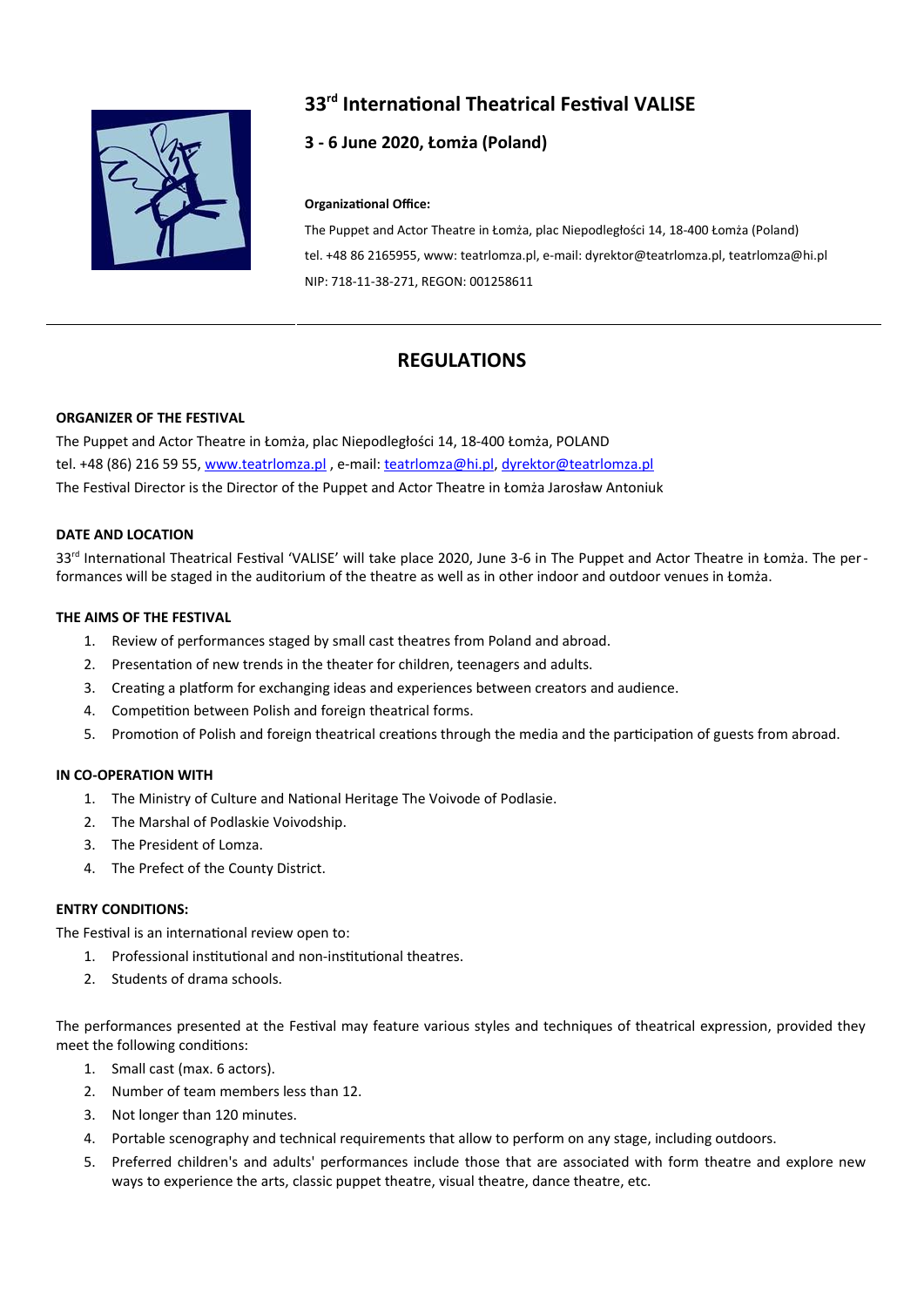

# **33rd International Theatrical Festival VALISE**

# **3 - 6 June 2020, Łomża (Poland)**

#### **Organizational Office:**

The Puppet and Actor Theatre in Łomża, plac Niepodległości 14, 18-400 Łomża (Poland) tel. +48 86 2165955, www: teatrlomza.pl, e-mail: dyrektor@teatrlomza.pl, teatrlomza@hi.pl NIP: 718-11-38-271, REGON: 001258611

# **REGULATIONS**

#### **ORGANIZER OF THE FESTIVAL**

The Puppet and Actor Theatre in Łomża, plac Niepodległości 14, 18-400 Łomża, POLAND tel. +48 (86) 216 59 55, [www.teatrlomza.pl](http://www.teatrlomza.pl/), e-mail: [teatrlomza@hi.pl](mailto:teatrlomza@hi.pl), [dyrektor@teatrlomza.pl](mailto:dyrektor@teatrlomza.pl) The Festival Director is the Director of the Puppet and Actor Theatre in Łomża Jarosław Antoniuk

#### **DATE AND LOCATION**

33<sup>rd</sup> International Theatrical Festival 'VALISE' will take place 2020, June 3-6 in The Puppet and Actor Theatre in Łomża. The performances will be staged in the auditorium of the theatre as well as in other indoor and outdoor venues in Łomża.

#### **THE AIMS OF THE FESTIVAL**

- 1. Review of performances staged by small cast theatres from Poland and abroad.
- 2. Presentation of new trends in the theater for children, teenagers and adults.
- 3. Creating a platform for exchanging ideas and experiences between creators and audience.
- 4. Competition between Polish and foreign theatrical forms.
- 5. Promotion of Polish and foreign theatrical creations through the media and the participation of guests from abroad.

# **IN CO-OPERATION WITH**

- 1. The Ministry of Culture and National Heritage The Voivode of Podlasie.
- 2. The Marshal of Podlaskie Voivodship.
- 3. The President of Lomza.
- 4. The Prefect of the County District.

# **ENTRY CONDITIONS:**

The Festival is an international review open to:

- 1. Professional institutional and non-institutional theatres.
- 2. Students of drama schools.

The performances presented at the Festival may feature various styles and techniques of theatrical expression, provided they meet the following conditions:

- 1. Small cast (max. 6 actors).
- 2. Number of team members less than 12.
- 3. Not longer than 120 minutes.
- 4. Portable scenography and technical requirements that allow to perform on any stage, including outdoors.
- 5. Preferred children's and adults' performances include those that are associated with form theatre and explore new ways to experience the arts, classic puppet theatre, visual theatre, dance theatre, etc.